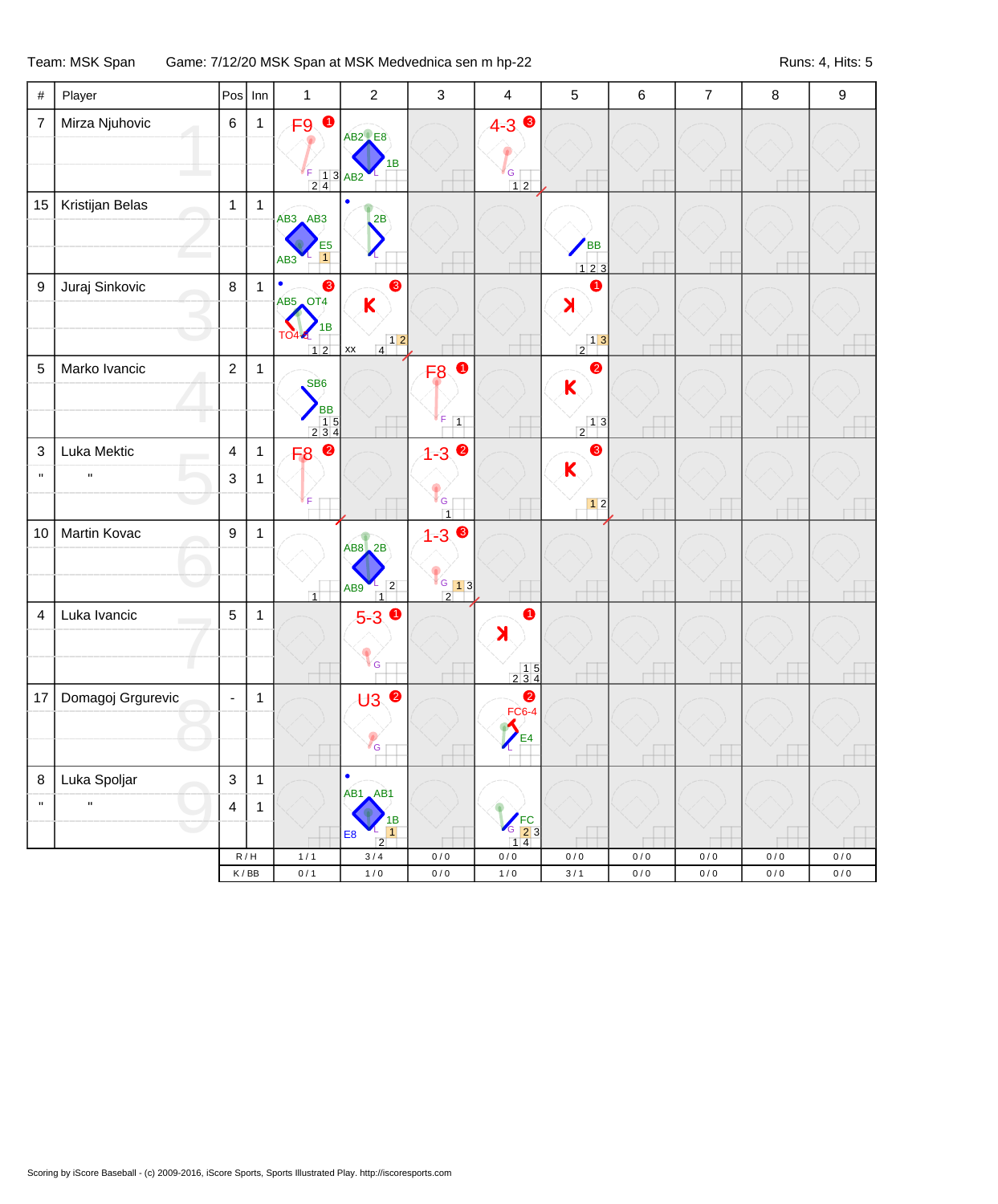## Team: MSK Span Game: 7/12/20 MSK Span at MSK Medvednica sen m hp-22 Runs: 4, Hits: 5

| #                      | Player                      |                              | $Pos$ Inn                                 | $\mathbf{1}$                                                                               | $\overline{2}$                                                     | $\mathbf{3}$                                                        | $\overline{\mathbf{4}}$                                                                                          | $\sqrt{5}$                                                                                     | 6                  | $\overline{7}$   | 8                      | $\boldsymbol{9}$ |
|------------------------|-----------------------------|------------------------------|-------------------------------------------|--------------------------------------------------------------------------------------------|--------------------------------------------------------------------|---------------------------------------------------------------------|------------------------------------------------------------------------------------------------------------------|------------------------------------------------------------------------------------------------|--------------------|------------------|------------------------|------------------|
| $\overline{7}$         | Mirza Njuhovic              | 6                            | $\mathbf{1}$                              | $\bullet$<br>F9<br>$\begin{array}{ c c c }\n 1 & 3 & AB2 \\  \hline\n 2 & 4 & \end{array}$ | <b>AB2</b> E8<br>в                                                 |                                                                     | $4 - 3$ $\bullet$<br>${\mathsf G}$<br>$12$                                                                       |                                                                                                |                    |                  |                        |                  |
| 15                     | Kristijan Belas             | $\mathbf{1}$                 | $\overline{1}$                            | $AB3$ $AB3$<br>E <sub>5</sub><br>$\overline{1}$<br>AB <sub>3</sub>                         | 2B                                                                 |                                                                     |                                                                                                                  | <b>BB</b><br>123                                                                               |                    |                  |                        |                  |
| $\boldsymbol{9}$       | Juraj Sinkovic              | $\,8\,$                      | $\overline{1}$                            | $\bullet$<br>❸<br>AB5 OT4<br>1B<br><b>TO4-6</b>                                            | ❸<br>K<br>$\begin{array}{c c} & 1 & 2 \\ \hline 4 & & \end{array}$ |                                                                     |                                                                                                                  | $\bullet$<br>$\blacktriangleright$<br>$\begin{array}{c c} & 1 & 3 \\ \hline 2 & & \end{array}$ |                    |                  |                        |                  |
| 5                      | Marko Ivancic               | $\overline{2}$               | $\mathbf{1}$                              | $12$<br>SB <sub>6</sub><br><b>BB</b><br>$\begin{array}{c} 15 \\ 234 \end{array}$           | $\mathsf{xx}$                                                      | <b>F80</b><br>F<br>$\overline{1}$                                   |                                                                                                                  | $\bullet$<br>$\mathsf K$<br>$\begin{array}{c c} & 1 & 3 \end{array}$                           |                    |                  |                        |                  |
| 3<br>$\mathbf{u}$      | Luka Mektic<br>$\mathbf{u}$ | $\overline{4}$<br>3          | $\mathbf{1}$<br>$\mathbf{1}$              | $\bullet$<br>F <sub>8</sub>                                                                |                                                                    | $1 - 3$ $\bullet$<br>G<br>$\overline{1}$                            |                                                                                                                  | ❸<br>$\mathsf K$<br>$12$                                                                       |                    |                  |                        |                  |
| 10                     | Martin Kovac                | $\boldsymbol{9}$             | $\mathbf{1}$                              | $\vert$ 1                                                                                  | $ABB$ $2B$<br>$\frac{-}{1}$<br>AB9                                 | $1 - 3$<br>$\begin{bmatrix} 6 & 1 & 3 \end{bmatrix}$<br>$\boxed{2}$ |                                                                                                                  |                                                                                                |                    |                  |                        |                  |
| 4                      | Luka Ivancic                | $\overline{5}$               | $\mathbf{1}$                              |                                                                                            | $5-3$ 0<br>G                                                       |                                                                     | 0<br>$\blacktriangleright$<br>$\begin{array}{c} 15 \\ 234 \end{array}$                                           |                                                                                                |                    |                  |                        |                  |
| 17                     | Domagoj Grgurevic           | $\blacksquare$               | $\mathbf{1}$                              |                                                                                            | <b>U3 ©</b><br>G                                                   |                                                                     | $\bullet$<br><b>FC6-4</b><br>E4                                                                                  |                                                                                                |                    |                  |                        |                  |
| $\bf8$<br>$\mathbf{u}$ | Luka Spoljar<br>H.          | $\sqrt{3}$<br>$\overline{4}$ | $\mathbf{1}$<br>$\mathbf{1}$              |                                                                                            | $\bullet$<br>AB1 AB1<br>1B<br>1<br><b>E8</b><br>$\overline{2}$     |                                                                     | $\begin{array}{c} \n\text{FC} \\ \text{3} \quad \text{2} \quad \text{3} \\ \text{1} \quad \text{4}\n\end{array}$ |                                                                                                |                    |                  |                        |                  |
|                        |                             |                              | R/H<br>$\mathsf K$ / $\mathsf B\mathsf B$ | $1/1$<br>0/1                                                                               | $3/4$<br>$1/0$                                                     | 0/0<br>$0/0$                                                        | $0\,/\,0$<br>$1/0$                                                                                               | $0/0$<br>$3/1$                                                                                 | $0/0$<br>$0\,/\,0$ | 0/0<br>$0\,/\,0$ | $0\,/\,0$<br>$0\,/\,0$ | 0/0<br>$0/0$     |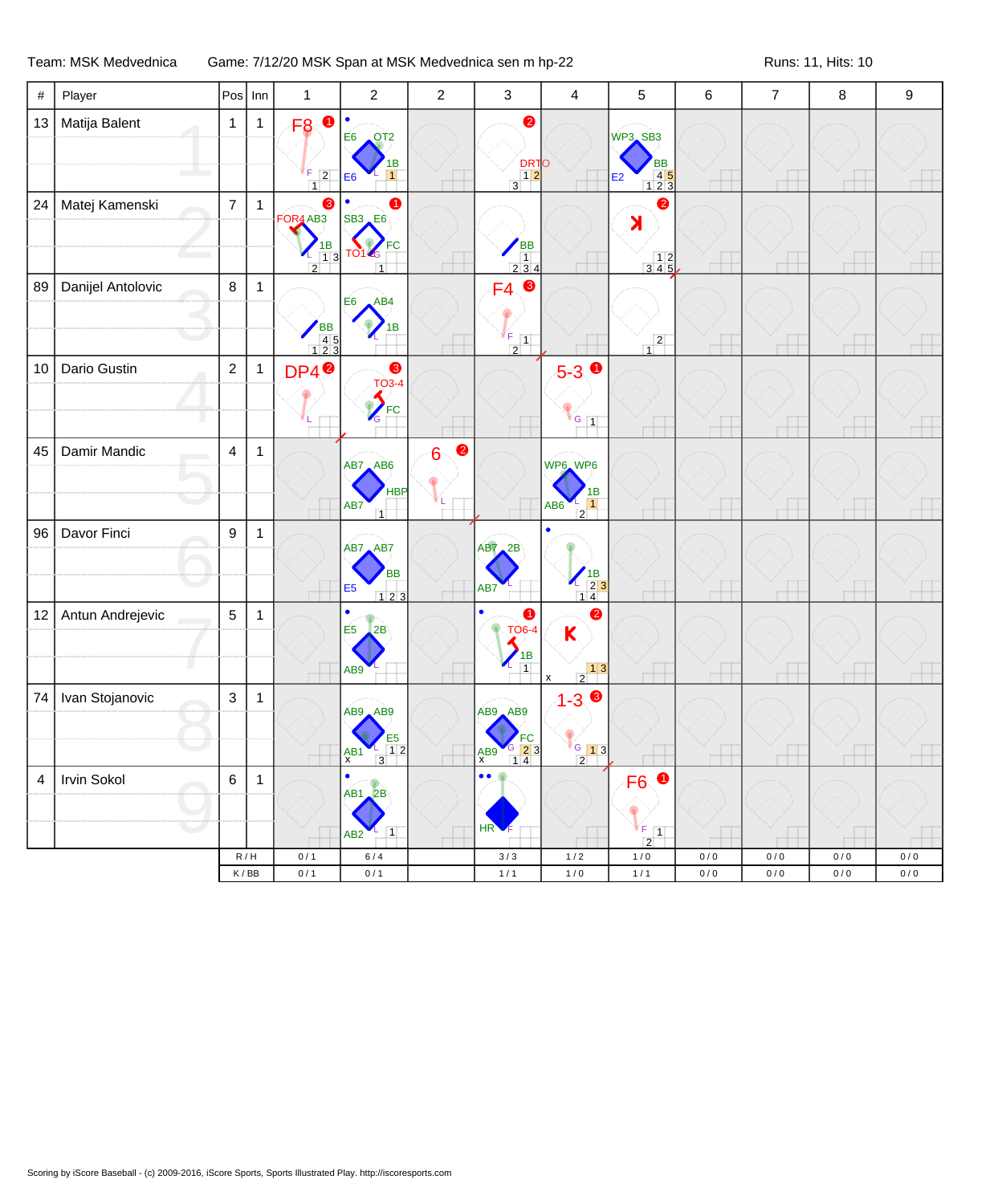Team: MSK Medvednica Game: 7/12/20 MSK Span at MSK Medvednica sen m hp-22 Runs: 11, Hits: 10

| $\#$ | Player            | Pos            | Inn          | 1                                                                                                 | $\sqrt{2}$                                                                         | $\overline{c}$ | $\mathbf{3}$                                                             | $\overline{4}$                                                                                             | $\mathbf 5$                                                                        | $\,6$                    | $\overline{7}$ | 8     | 9         |
|------|-------------------|----------------|--------------|---------------------------------------------------------------------------------------------------|------------------------------------------------------------------------------------|----------------|--------------------------------------------------------------------------|------------------------------------------------------------------------------------------------------------|------------------------------------------------------------------------------------|--------------------------|----------------|-------|-----------|
| 13   | Matija Balent     | $\mathbf{1}$   | $\mathbf{1}$ | F <sub>8</sub><br>F.<br>$\boxed{2}$<br>1                                                          | OT2<br>E6<br>1B<br>1<br>E <sub>6</sub>                                             |                | $\bullet$<br>DRTO<br>12<br>$\overline{3}$                                |                                                                                                            | WP3 SB3<br><b>BB</b><br>$\begin{array}{c} 45 \\ 123 \end{array}$<br>E <sub>2</sub> | A                        |                |       |           |
| 24   | Matej Kamenski    | $\overline{7}$ | $\mathbf{1}$ | 8<br>FOR4 AB3<br>$\begin{array}{c} \n 1B \\  13\n \end{array}$<br>$\mathcal{L}$<br>$\overline{2}$ | ➊<br><b>SB3</b> E6<br><b>FC</b><br><b>TO14G</b><br>$\overline{1}$                  |                | $\begin{array}{c}\n\sqrt{BB} \\ 1 \\ 234\n\end{array}$                   |                                                                                                            | $\bullet$<br>$\blacktriangleright$<br>$\begin{array}{c} 12 \\ 345 \end{array}$     |                          |                |       |           |
| 89   | Danijel Antolovic | $\bf 8$        | $\mathbf{1}$ | BB<br>45<br>123                                                                                   | AB4<br>E <sub>6</sub><br>1B                                                        |                | $F4$ $\odot$<br>$\frac{F}{2}$                                            |                                                                                                            | $\frac{2}{1}$                                                                      | A                        |                | ۰     |           |
| 10   | Dario Gustin      | $\sqrt{2}$     | $\mathbf{1}$ | DP4 <sup>0</sup>                                                                                  | $\bullet$<br><b>TO3-4</b><br>FC<br>G                                               |                |                                                                          | $5-3$<br>$\sqrt{G}$ 1                                                                                      |                                                                                    |                          |                |       |           |
| 45   | Damir Mandic      | $\overline{4}$ | $\mathbf{1}$ |                                                                                                   | AB7 AB6<br><b>HBP</b><br>AB7<br>$\overline{1}$                                     | $\bullet$<br>6 |                                                                          | WP6 WP6<br>1B<br>$\vert$ 1<br>AB <sub>6</sub><br>$\overline{2}$                                            |                                                                                    | щ                        |                | J.    |           |
| 96   | Davor Finci       | 9              | $\mathbf{1}$ |                                                                                                   | AB7 AB7<br><b>BB</b><br>E <sub>5</sub><br>123                                      |                | <b>AB7</b> 2B<br>AB7                                                     | $\begin{pmatrix} 1 & 1 & 1 \\ - & 2 & 3 \\ 1 & 4 & 1 \end{pmatrix}$                                        |                                                                                    |                          |                |       |           |
| 12   | Antun Andrejevic  | $\sqrt{5}$     | $\mathbf{1}$ |                                                                                                   | $\bullet$<br>E <sub>5</sub><br>2B<br>AB9                                           |                | $\bullet$<br>$\bullet$<br><b>TO6-4</b><br>$\frac{1}{1}$<br>$\mathcal{L}$ | $\bullet$<br>$\mathsf K$<br>$\begin{array}{c c} & 1 & 3 \\ \hline 2 & & \end{array}$<br>$\pmb{\mathsf{x}}$ |                                                                                    | $\overline{\phantom{a}}$ |                | ⊥     |           |
| 74   | Ivan Stojanovic   | $\mathbf{3}$   | $\mathbf{1}$ |                                                                                                   | AB9 AB9<br>E <sub>5</sub><br>$\overline{1}$ 2<br>$\frac{AB1}{x}$<br>$\overline{3}$ |                | AB9 AB9<br>FC<br>$\frac{6}{1}$ $\frac{2}{4}$ 3<br>A <sub>X</sub>         | $1 - 30$<br>$\frac{1}{2}$ $\frac{1}{3}$                                                                    |                                                                                    |                          |                |       |           |
| 4    | Irvin Sokol       | 6              | $\mathbf{1}$ |                                                                                                   | $AB1$ <sub>-2</sub> B<br>$\vert$ 1<br>AB <sub>2</sub>                              |                | $\bullet\bullet$<br>HR                                                   |                                                                                                            | F <sub>6</sub><br>$\mathbf{F}$ $\mathbf{I}$<br>$\overline{2}$                      |                          |                |       |           |
|      |                   | R/H            |              | 0/1                                                                                               | $6/4$                                                                              |                | $3/3$                                                                    | $1/2$                                                                                                      | 1/0                                                                                | 0/0                      | 0/0            | 0/0   | 0/0       |
|      |                   | K/BB           |              | 0/1                                                                                               | 0/1                                                                                |                | $1/1$                                                                    | $1/0$                                                                                                      | $1/1$                                                                              | $0/0$                    | $0/0$          | $0/0$ | $0\,/\,0$ |